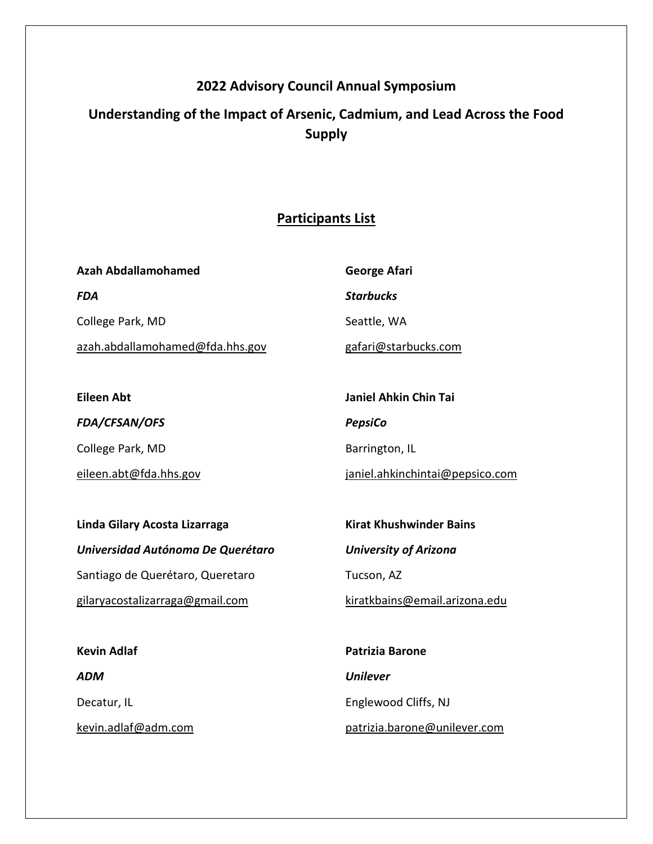## **2022 Advisory Council Annual Symposium**

# **Understanding of the Impact of Arsenic, Cadmium, and Lead Across the Food Supply**

## **Participants List**

| Azah Abdallamohamed             | George Afari         |
|---------------------------------|----------------------|
| FDA                             | <b>Starbucks</b>     |
| College Park, MD                | Seattle, WA          |
| azah.abdallamohamed@fda.hhs.gov | gafari@starbucks.com |

**Eileen Abt** *FDA/CFSAN/OFS*  College Park, MD eileen.abt@fda.hhs.gov **Janiel Ahkin Chin Tai** *PepsiCo*  Barrington, IL

janiel.ahkinchintai@pepsico.com

**Linda Gilary Acosta Lizarraga** *Universidad Autónoma De Querétaro*  Santiago de Querétaro, Queretaro gilaryacostalizarraga@gmail.com

**Kirat Khushwinder Bains** *University of Arizona* 

Tucson, AZ

kiratkbains@email.arizona.edu

**Kevin Adlaf** *ADM*  Decatur, IL kevin.adlaf@adm.com **Patrizia Barone** *Unilever*  Englewood Cliffs, NJ patrizia.barone@unilever.com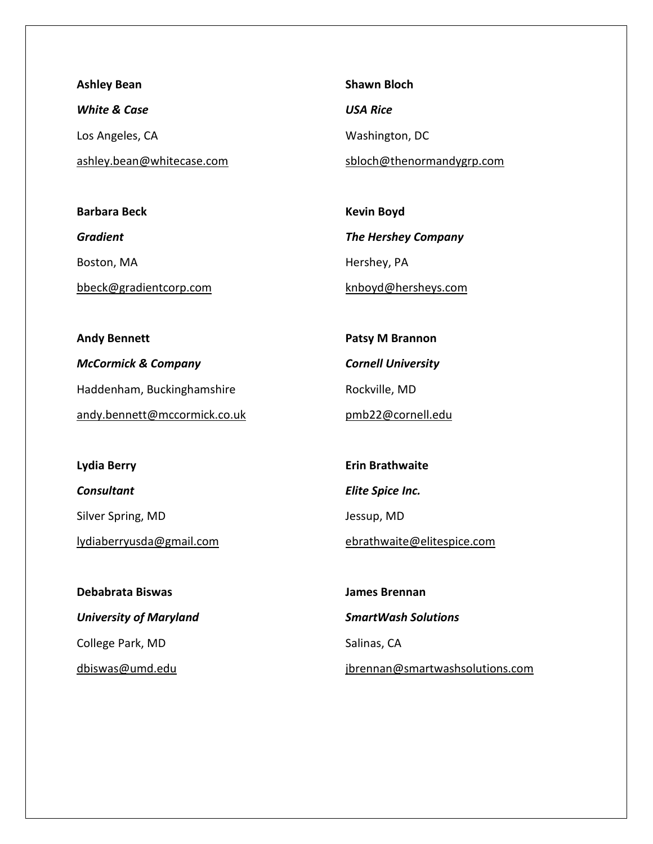**Ashley Bean** *White & Case*  Los Angeles, CA ashley.bean@whitecase.com

**Barbara Beck** *Gradient*  Boston, MA bbeck@gradientcorp.com **Shawn Bloch** *USA Rice*  Washington, DC sbloch@thenormandygrp.com

**Kevin Boyd** *The Hershey Company*  Hershey, PA knboyd@hersheys.com

**Andy Bennett** *McCormick & Company*  Haddenham, Buckinghamshire andy.bennett@mccormick.co.uk

**Patsy M Brannon** *Cornell University*  Rockville, MD pmb22@cornell.edu

**Lydia Berry** *Consultant*  Silver Spring, MD lydiaberryusda@gmail.com

**Debabrata Biswas** *University of Maryland*  College Park, MD dbiswas@umd.edu

**Erin Brathwaite** *Elite Spice Inc.*  Jessup, MD

ebrathwaite@elitespice.com

**James Brennan** *SmartWash Solutions*  Salinas, CA jbrennan@smartwashsolutions.com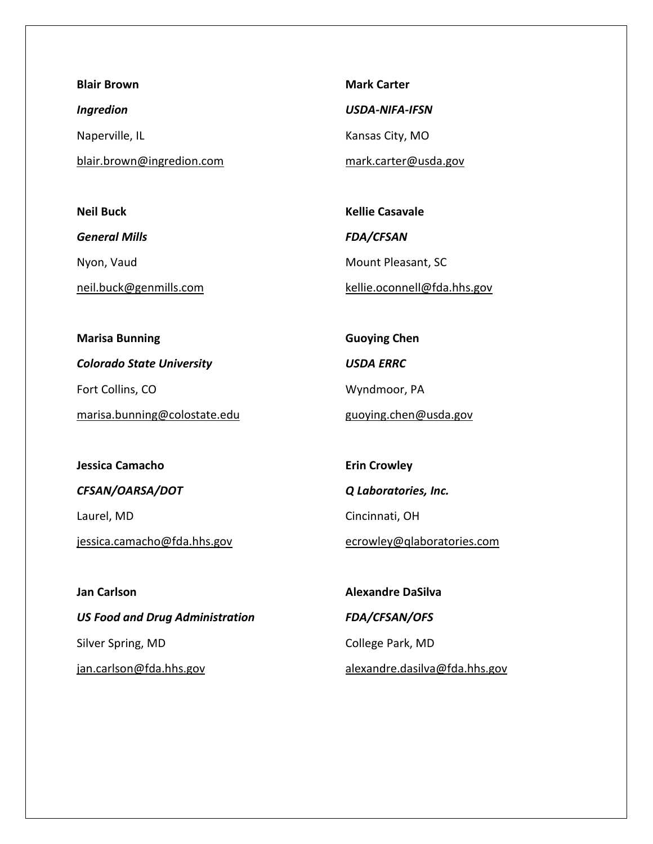**Blair Brown** *Ingredion*  Naperville, IL blair.brown@ingredion.com

**Neil Buck**  *General Mills*  Nyon, Vaud neil.buck@genmills.com **Mark Carter** *USDA-NIFA-IFSN*  Kansas City, MO mark.carter@usda.gov

**Kellie Casavale** *FDA/CFSAN*  Mount Pleasant, SC kellie.oconnell@fda.hhs.gov

**Marisa Bunning** *Colorado State University*  Fort Collins, CO marisa.bunning@colostate.edu **Guoying Chen** *USDA ERRC*  Wyndmoor, PA guoying.chen@usda.gov

**Jessica Camacho** *CFSAN/OARSA/DOT*  Laurel, MD jessica.camacho@fda.hhs.gov

**Erin Crowley** *Q Laboratories, Inc.*  Cincinnati, OH ecrowley@qlaboratories.com

**Jan Carlson** *US Food and Drug Administration*  Silver Spring, MD jan.carlson@fda.hhs.gov

**Alexandre DaSilva** *FDA/CFSAN/OFS*  College Park, MD alexandre.dasilva@fda.hhs.gov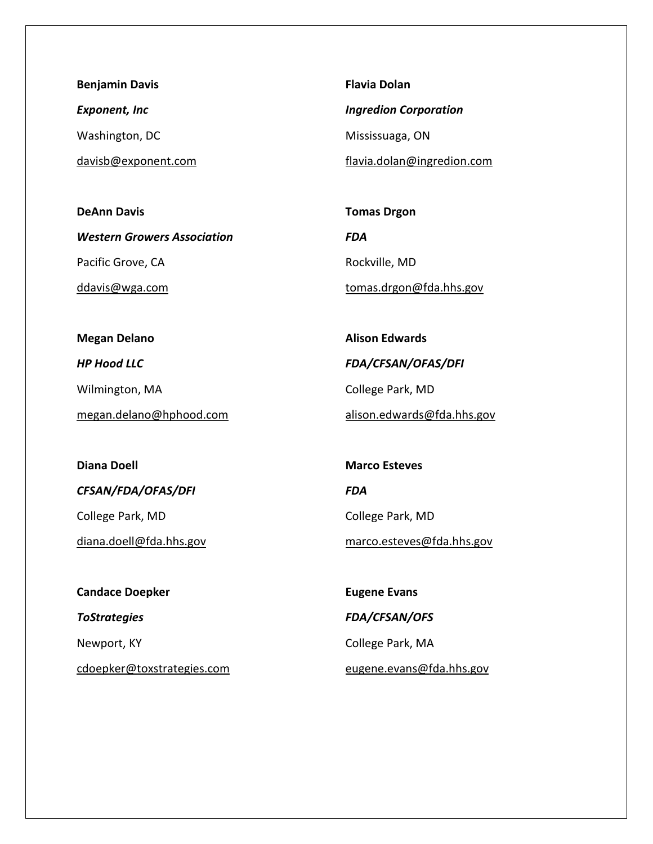**Benjamin Davis** *Exponent, Inc*  Washington, DC davisb@exponent.com

**DeAnn Davis** *Western Growers Association*  Pacific Grove, CA ddavis@wga.com

**Flavia Dolan** *Ingredion Corporation*  Mississuaga, ON flavia.dolan@ingredion.com

**Tomas Drgon** *FDA*  Rockville, MD tomas.drgon@fda.hhs.gov

**Megan Delano** *HP Hood LLC* 

Wilmington, MA

megan.delano@hphood.com

**Diana Doell**

*CFSAN/FDA/OFAS/DFI* 

College Park, MD

diana.doell@fda.hhs.gov

**Candace Doepker** *ToStrategies*  Newport, KY cdoepker@toxstrategies.com

**Alison Edwards** *FDA/CFSAN/OFAS/DFI*  College Park, MD alison.edwards@fda.hhs.gov

**Marco Esteves** *FDA*  College Park, MD

marco.esteves@fda.hhs.gov

**Eugene Evans** *FDA/CFSAN/OFS*  College Park, MA eugene.evans@fda.hhs.gov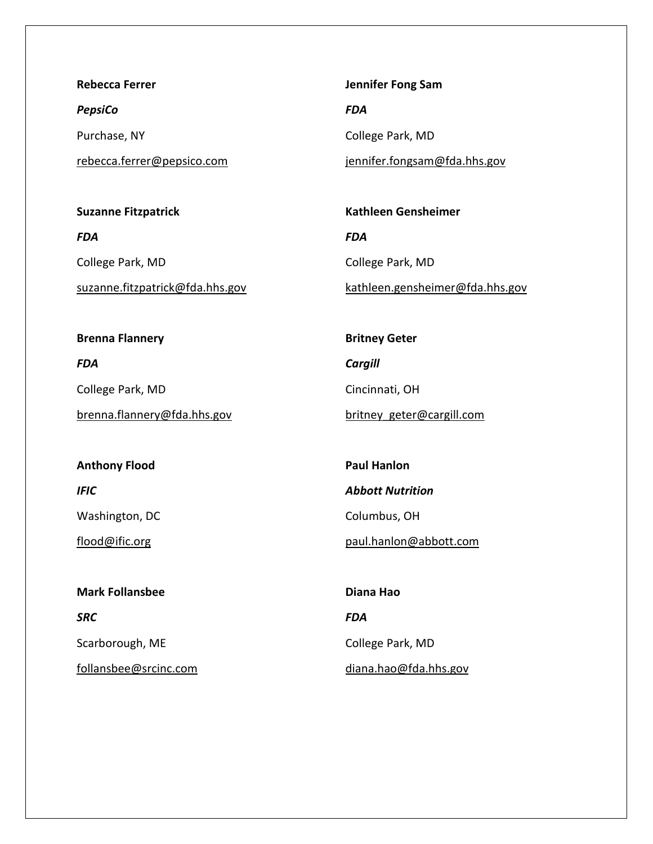**Rebecca Ferrer**

*PepsiCo* 

Purchase, NY

rebecca.ferrer@pepsico.com

**Suzanne Fitzpatrick** *FDA*  College Park, MD suzanne.fitzpatrick@fda.hhs.gov **Jennifer Fong Sam**

*FDA* 

College Park, MD

**Britney Geter**

Cincinnati, OH

*Cargill* 

jennifer.fongsam@fda.hhs.gov

**Kathleen Gensheimer** *FDA*  College Park, MD kathleen.gensheimer@fda.hhs.gov

**Brenna Flannery** *FDA* 

College Park, MD

**Anthony Flood**

Washington, DC

flood@ific.org

*IFIC* 

brenna.flannery@fda.hhs.gov

britney\_geter@cargill.com **Paul Hanlon** *Abbott Nutrition* 

Columbus, OH

paul.hanlon@abbott.com

**Mark Follansbee** *SRC*  Scarborough, ME follansbee@srcinc.com

**Diana Hao** *FDA*  College Park, MD diana.hao@fda.hhs.gov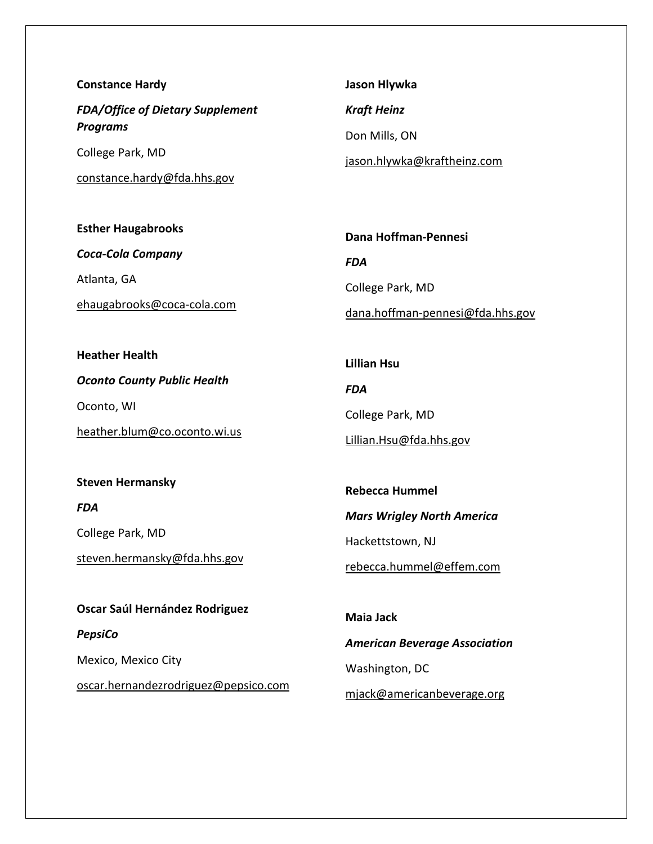| <b>Constance Hardy</b>                                     | Jason Hlywka                |
|------------------------------------------------------------|-----------------------------|
| <b>FDA/Office of Dietary Supplement</b><br><b>Programs</b> | <b>Kraft Heinz</b>          |
|                                                            | Don Mills, ON               |
| College Park, MD                                           | jason.hlywka@kraftheinz.com |
| constance.hardy@fda.hhs.gov                                |                             |

**Esther Haugabrooks** *Coca-Cola Company*  Atlanta, GA ehaugabrooks@coca-cola.com

**Dana Hoffman-Pennesi** *FDA*  College Park, MD dana.hoffman-pennesi@fda.hhs.gov

**Lillian Hsu**

College Park, MD

**Rebecca Hummel**

Lillian.Hsu@fda.hhs.gov

*FDA* 

**Heather Health** *Oconto County Public Health*  Oconto, WI heather.blum@co.oconto.wi.us

**Steven Hermansky**

*FDA* 

College Park, MD

steven.hermansky@fda.hhs.gov

**Oscar Saúl Hernández Rodriguez**

*Mars Wrigley North America*  Hackettstown, NJ rebecca.hummel@effem.com **Maia Jack**

*PepsiCo*  Mexico, Mexico City oscar.hernandezrodriguez@pepsico.com

*American Beverage Association*  Washington, DC mjack@americanbeverage.org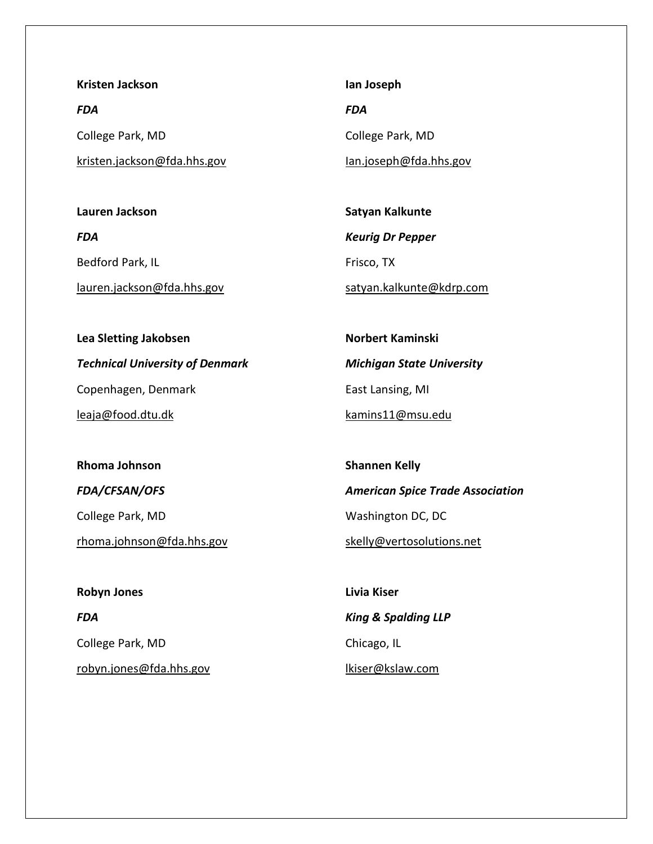**Kristen Jackson**

*FDA*  College Park, MD kristen.jackson@fda.hhs.gov

**Lauren Jackson** *FDA*  Bedford Park, IL lauren.jackson@fda.hhs.gov

**Ian Joseph** *FDA*  College Park, MD Ian.joseph@fda.hhs.gov

**Satyan Kalkunte** *Keurig Dr Pepper*  Frisco, TX satyan.kalkunte@kdrp.com

**Lea Sletting Jakobsen** *Technical University of Denmark*  Copenhagen, Denmark leaja@food.dtu.dk

**Rhoma Johnson** *FDA/CFSAN/OFS*  College Park, MD rhoma.johnson@fda.hhs.gov

**Robyn Jones** *FDA*  College Park, MD robyn.jones@fda.hhs.gov

**Norbert Kaminski** *Michigan State University*  East Lansing, MI kamins11@msu.edu

**Shannen Kelly** *American Spice Trade Association*  Washington DC, DC skelly@vertosolutions.net

**Livia Kiser** *King & Spalding LLP*  Chicago, IL lkiser@kslaw.com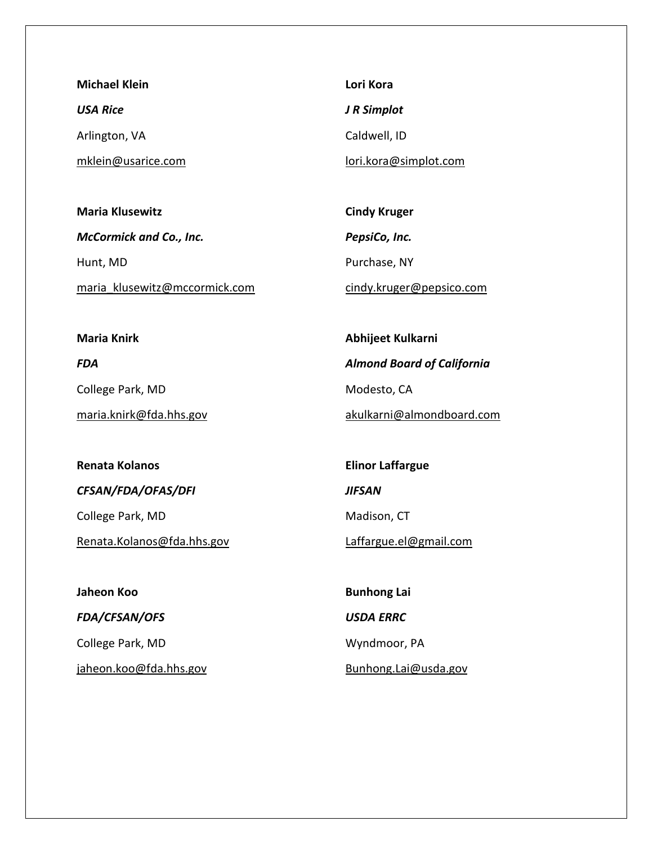**Michael Klein** *USA Rice*  Arlington, VA mklein@usarice.com

**Maria Klusewitz** *McCormick and Co., Inc.*  Hunt, MD maria\_klusewitz@mccormick.com

**Lori Kora** *J R Simplot*  Caldwell, ID lori.kora@simplot.com

**Cindy Kruger** *PepsiCo, Inc.*  Purchase, NY cindy.kruger@pepsico.com

**Maria Knirk** *FDA*  College Park, MD maria.knirk@fda.hhs.gov

**Abhijeet Kulkarni** *Almond Board of California*  Modesto, CA akulkarni@almondboard.com

**Renata Kolanos** *CFSAN/FDA/OFAS/DFI*  College Park, MD

Renata.Kolanos@fda.hhs.gov

**Jaheon Koo** *FDA/CFSAN/OFS*  College Park, MD jaheon.koo@fda.hhs.gov

**Elinor Laffargue** *JIFSAN*  Madison, CT Laffargue.el@gmail.com

**Bunhong Lai** *USDA ERRC*  Wyndmoor, PA Bunhong.Lai@usda.gov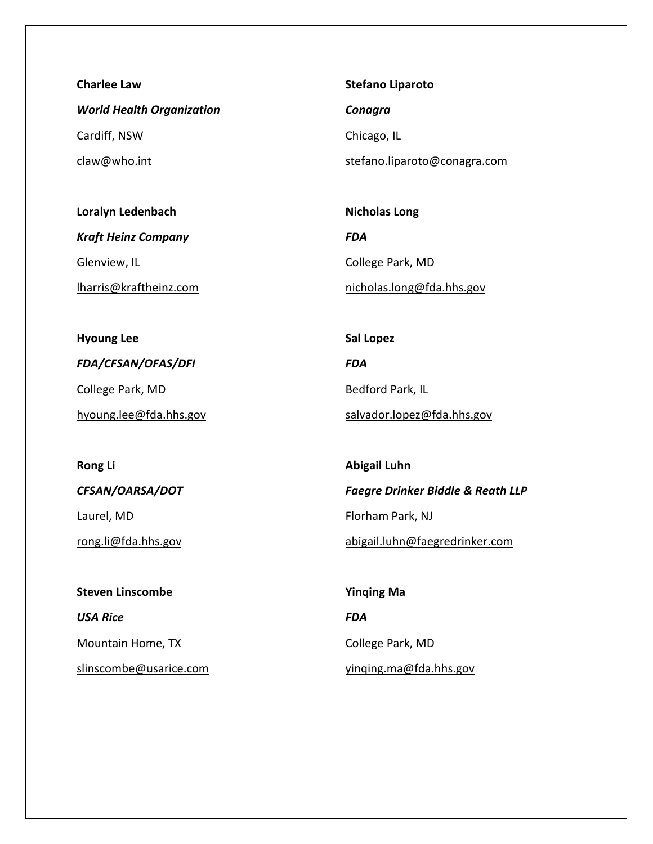**Charlee Law** *World Health Organization*  Cardiff, NSW claw@who.int

**Loralyn Ledenbach** *Kraft Heinz Company*  Glenview, IL lharris@kraftheinz.com

**Hyoung Lee** *FDA/CFSAN/OFAS/DFI*  College Park, MD hyoung.lee@fda.hhs.gov

*CFSAN/OARSA/DOT*  Laurel, MD rong.li@fda.hhs.gov

**Rong Li**

**Steven Linscombe** *USA Rice*  Mountain Home, TX slinscombe@usarice.com **Stefano Liparoto**

*Conagra* 

Chicago, IL

stefano.liparoto@conagra.com

**Nicholas Long** *FDA*  College Park, MD nicholas.long@fda.hhs.gov

**Sal Lopez** *FDA*  Bedford Park, IL salvador.lopez@fda.hhs.gov

**Abigail Luhn** *Faegre Drinker Biddle & Reath LLP*  Florham Park, NJ abigail.luhn@faegredrinker.com

**Yinqing Ma** *FDA*  College Park, MD yinqing.ma@fda.hhs.gov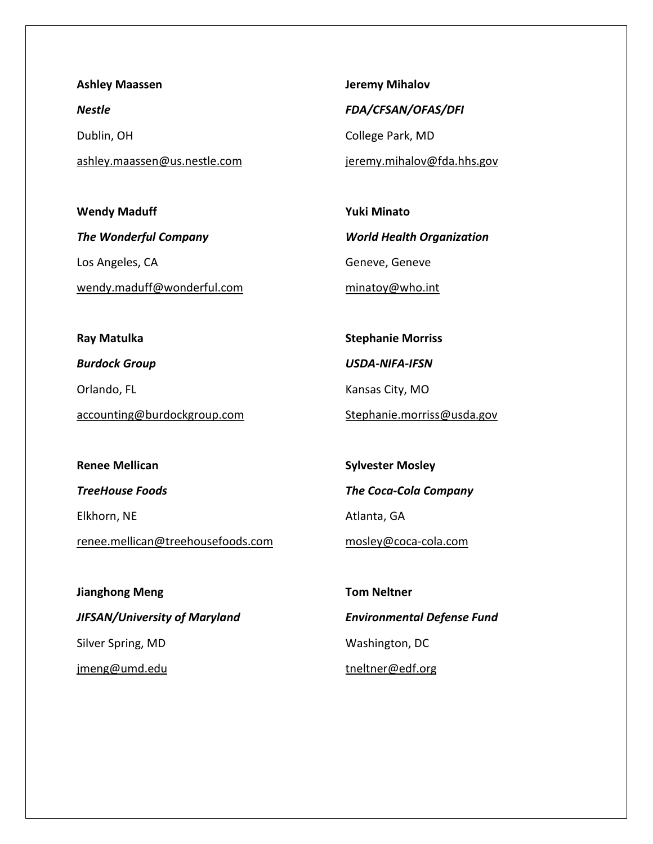**Ashley Maassen** *Nestle*  Dublin, OH ashley.maassen@us.nestle.com

**Jeremy Mihalov** *FDA/CFSAN/OFAS/DFI*  College Park, MD

jeremy.mihalov@fda.hhs.gov

**Wendy Maduff** *The Wonderful Company*  Los Angeles, CA wendy.maduff@wonderful.com **Yuki Minato** *World Health Organization*  Geneve, Geneve minatoy@who.int

**Ray Matulka** *Burdock Group*  Orlando, FL accounting@burdockgroup.com

**Stephanie Morriss** *USDA-NIFA-IFSN*  Kansas City, MO Stephanie.morriss@usda.gov

**Renee Mellican** *TreeHouse Foods*  Elkhorn, NE renee.mellican@treehousefoods.com

**Sylvester Mosley** *The Coca-Cola Company*  Atlanta, GA mosley@coca-cola.com

**Jianghong Meng** *JIFSAN/University of Maryland*  Silver Spring, MD jmeng@umd.edu

**Tom Neltner** *Environmental Defense Fund*  Washington, DC tneltner@edf.org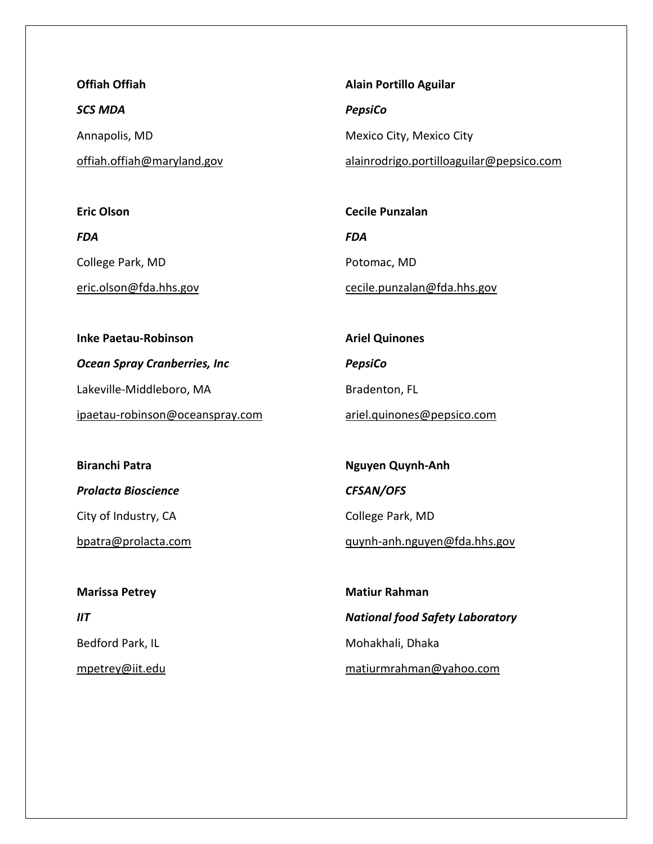**Offiah Offiah** *SCS MDA*  Annapolis, MD offiah.offiah@maryland.gov

**Alain Portillo Aguilar** *PepsiCo*  Mexico City, Mexico City alainrodrigo.portilloaguilar@pepsico.com

**Eric Olson** *FDA*  College Park, MD eric.olson@fda.hhs.gov **Cecile Punzalan** *FDA*  Potomac, MD cecile.punzalan@fda.hhs.gov

**Inke Paetau-Robinson** *Ocean Spray Cranberries, Inc*  Lakeville-Middleboro, MA ipaetau-robinson@oceanspray.com **Ariel Quinones** *PepsiCo*  Bradenton, FL ariel.quinones@pepsico.com

**Biranchi Patra** *Prolacta Bioscience*  City of Industry, CA bpatra@prolacta.com

**Marissa Petrey**  $IIT$ Bedford Park, IL mpetrey@iit.edu

**Nguyen Quynh-Anh** *CFSAN/OFS*  College Park, MD quynh-anh.nguyen@fda.hhs.gov

**Matiur Rahman** *National food Safety Laboratory*  Mohakhali, Dhaka matiurmrahman@yahoo.com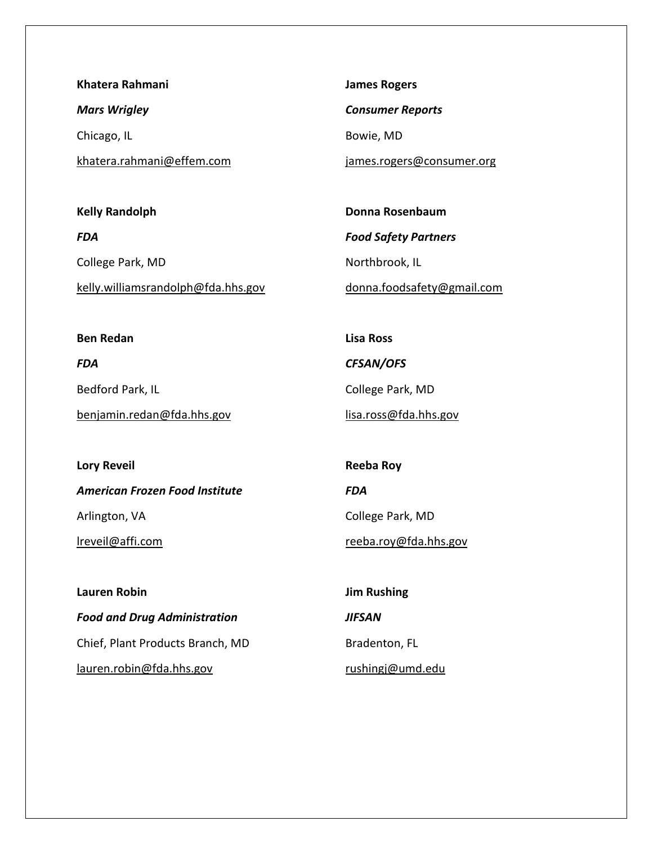**Khatera Rahmani** *Mars Wrigley*  Chicago, IL khatera.rahmani@effem.com

**Kelly Randolph** *FDA*  College Park, MD kelly.williamsrandolph@fda.hhs.gov **James Rogers**

*Consumer Reports* 

Bowie, MD

**Lisa Ross**

*CFSAN/OFS* 

College Park, MD

lisa.ross@fda.hhs.gov

james.rogers@consumer.org

**Donna Rosenbaum** *Food Safety Partners*  Northbrook, IL donna.foodsafety@gmail.com

**Ben Redan** *FDA*  Bedford Park, IL benjamin.redan@fda.hhs.gov

**Lory Reveil** *American Frozen Food Institute*  Arlington, VA lreveil@affi.com

**Reeba Roy** *FDA*  College Park, MD reeba.roy@fda.hhs.gov

**Lauren Robin** *Food and Drug Administration*  Chief, Plant Products Branch, MD lauren.robin@fda.hhs.gov

**Jim Rushing** *JIFSAN*  Bradenton, FL rushingj@umd.edu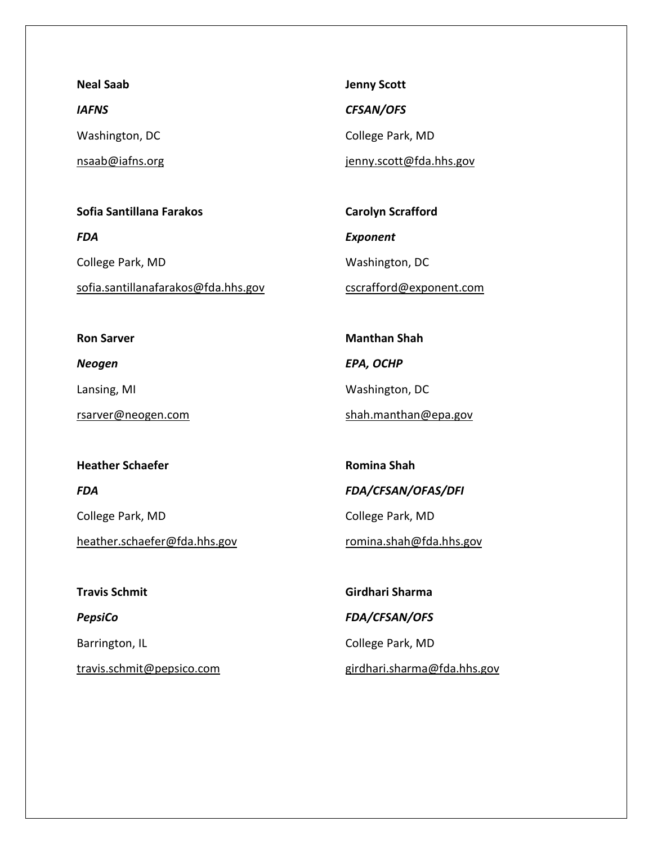**Neal Saab** *IAFNS*  Washington, DC nsaab@iafns.org

**Sofia Santillana Farakos** *FDA*  College Park, MD sofia.santillanafarakos@fda.hhs.gov

**Jenny Scott** *CFSAN/OFS*  College Park, MD jenny.scott@fda.hhs.gov

**Carolyn Scrafford** *Exponent*  Washington, DC cscrafford@exponent.com

**Manthan Shah**

Washington, DC

*EPA, OCHP* 

**Ron Sarver**

*Neogen* 

Lansing, MI

rsarver@neogen.com

**Heather Schaefer** *FDA*  College Park, MD heather.schaefer@fda.hhs.gov

**Romina Shah** *FDA/CFSAN/OFAS/DFI*  College Park, MD romina.shah@fda.hhs.gov

shah.manthan@epa.gov

**Travis Schmit** *PepsiCo*  Barrington, IL travis.schmit@pepsico.com

**Girdhari Sharma** *FDA/CFSAN/OFS*  College Park, MD girdhari.sharma@fda.hhs.gov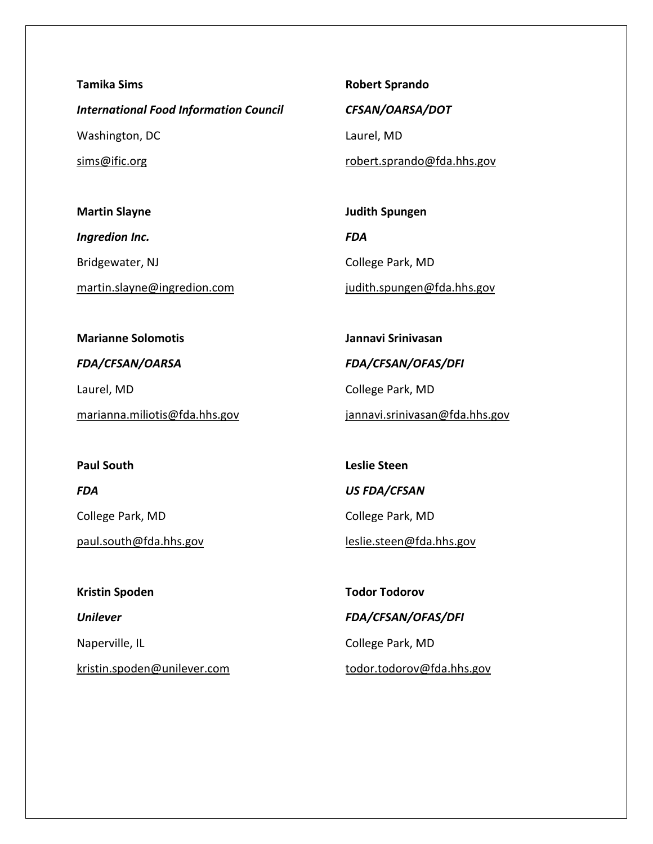**Tamika Sims** *International Food Information Council* 

Washington, DC

sims@ific.org

**Martin Slayne**

*Ingredion Inc.*  Bridgewater, NJ

martin.slayne@ingredion.com

**Robert Sprando**

*CFSAN/OARSA/DOT* 

Laurel, MD

robert.sprando@fda.hhs.gov

**Judith Spungen** *FDA*  College Park, MD judith.spungen@fda.hhs.gov

**Marianne Solomotis** *FDA/CFSAN/OARSA*  Laurel, MD marianna.miliotis@fda.hhs.gov **Jannavi Srinivasan** *FDA/CFSAN/OFAS/DFI*  College Park, MD jannavi.srinivasan@fda.hhs.gov

**Paul South** *FDA* 

College Park, MD

paul.south@fda.hhs.gov

**Kristin Spoden** *Unilever*  Naperville, IL kristin.spoden@unilever.com **Leslie Steen** *US FDA/CFSAN*  College Park, MD leslie.steen@fda.hhs.gov

**Todor Todorov** *FDA/CFSAN/OFAS/DFI*  College Park, MD todor.todorov@fda.hhs.gov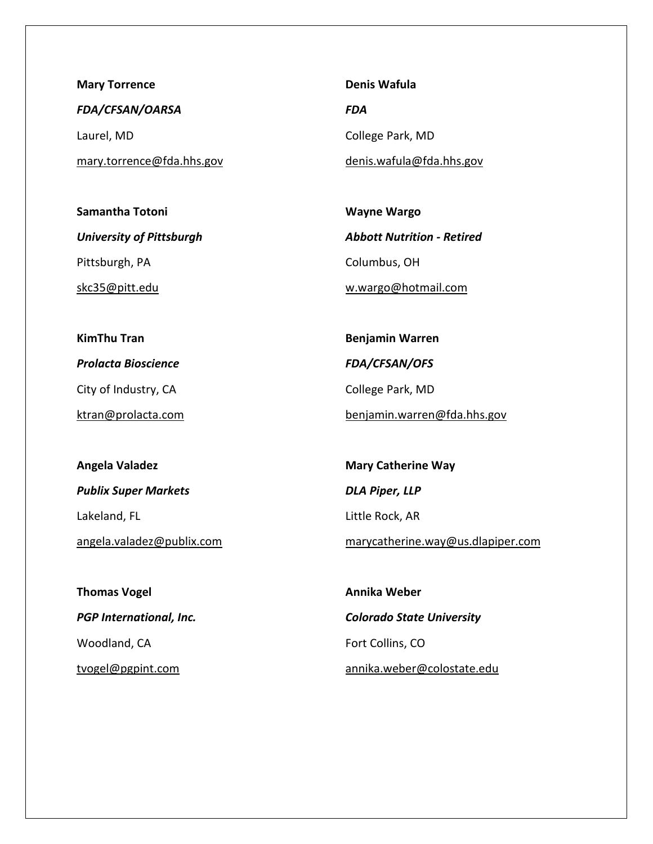**Mary Torrence** *FDA/CFSAN/OARSA*  Laurel, MD mary.torrence@fda.hhs.gov

**Samantha Totoni** *University of Pittsburgh*  Pittsburgh, PA skc35@pitt.edu

**Denis Wafula** *FDA*  College Park, MD denis.wafula@fda.hhs.gov

**Wayne Wargo** *Abbott Nutrition - Retired*  Columbus, OH w.wargo@hotmail.com

**KimThu Tran** *Prolacta Bioscience*  City of Industry, CA ktran@prolacta.com

**Benjamin Warren** *FDA/CFSAN/OFS*  College Park, MD benjamin.warren@fda.hhs.gov

**Angela Valadez** *Publix Super Markets*  Lakeland, FL angela.valadez@publix.com

**Mary Catherine Way** *DLA Piper, LLP*  Little Rock, AR marycatherine.way@us.dlapiper.com

**Thomas Vogel** *PGP International, Inc.*  Woodland, CA tvogel@pgpint.com

**Annika Weber** *Colorado State University*  Fort Collins, CO annika.weber@colostate.edu